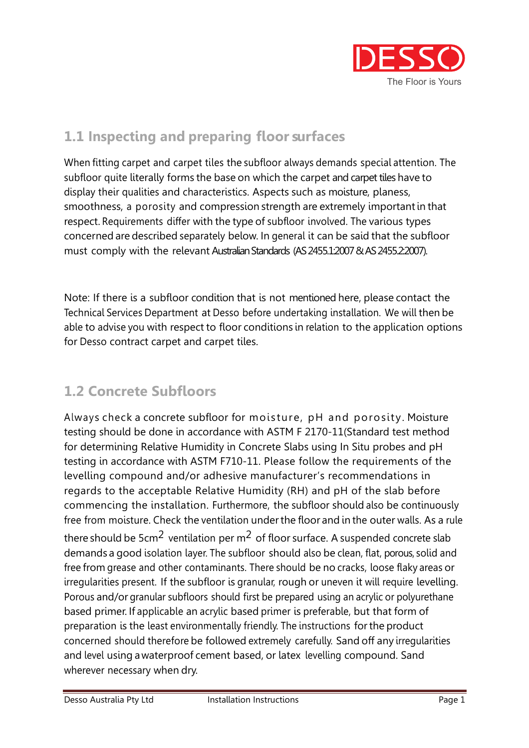

# 1.1 Inspecting and preparing floor surfaces

When fitting carpet and carpet tiles the subfloor always demands special attention. The subfloor quite literally forms the base on which the carpet and carpet tiles have to display their qualities and characteristics. Aspects such as moisture, planess, smoothness, a porosity and compression strength are extremely important in that respect. Requirements differ with the type of subfloor involved. The various types concerned are described separately below. In general it can be said that the subfloor must comply with the relevant Australian Standards (AS 2455.1:2007 & AS 2455.2:2007).

Note: If there is a subfloor condition that is not mentioned here, please contact the Technical Services Department at Desso before undertaking installation. We will then be able to advise you with respect to floor conditions in relation to the application options for Desso contract carpet and carpet tiles.

# 1.2 Concrete Subfloors

Always check a concrete subfloor for moisture, pH and porosity. Moisture testing should be done in accordance with ASTM F 2170-11(Standard test method for determining Relative Humidity in Concrete Slabs using In Situ probes and pH testing in accordance with ASTM F710-11. Please follow the requirements of the levelling compound and/or adhesive manufacturer's recommendations in regards to the acceptable Relative Humidity (RH) and pH of the slab before commencing the installation. Furthermore, the subfloor should also be continuously free from moisture. Check the ventilation under the floor and in the outer walls. As a rule there should be  $5cm<sup>2</sup>$  ventilation per m<sup>2</sup> of floor surface. A suspended concrete slab demands a good isolation layer. The subfloor should also be clean, flat, porous, solid and free from grease and other contaminants. There should be no cracks, loose flaky areas or irregularities present. If the subfloor is granular, rough or uneven it will require levelling. Porous and/or granular subfloors should first be prepared using an acrylic or polyurethane based primer. If applicable an acrylic based primer is preferable, but that form of preparation is the least environmentally friendly. The instructions for the product concerned should therefore be followed extremely carefully. Sand off any irregularities and level using a waterproof cement based, or latex levelling compound. Sand wherever necessary when dry.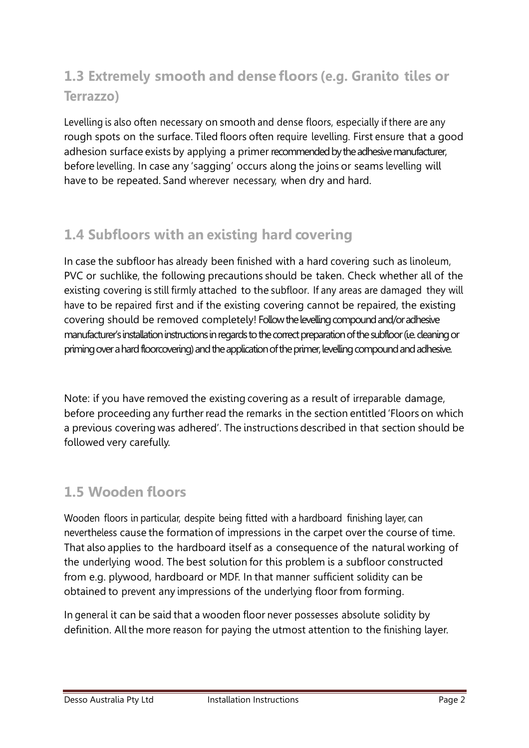# 1.3 Extremely smooth and dense floors (e.g. Granito tiles or Terrazzo)

Levelling is also often necessary on smooth and dense floors, especially if there are any rough spots on the surface. Tiled floors often require levelling. First ensure that a good adhesion surface exists by applying a primer recommended by the adhesive manufacturer, before levelling. In case any 'sagging' occurs along the joins or seams levelling will have to be repeated. Sand wherever necessary, when dry and hard.

# 1.4 Subfloors with an existing hard covering

In case the subfloor has already been finished with a hard covering such as linoleum, PVC or suchlike, the following precautions should be taken. Check whether all of the existing covering is still firmly attached to the subfloor. If any areas are damaged they will have to be repaired first and if the existing covering cannot be repaired, the existing covering should be removed completely! Follow the levelling compound and/or adhesive manufacturer's installation instructions in regards to the correct preparation of the subfloor (i.e. cleaning or priming over a hard floorcovering) and the application of the primer, levelling compound and adhesive.

Note: if you have removed the existing covering as a result of irreparable damage, before proceeding any further read the remarks in the section entitled 'Floors on which a previous covering was adhered'. The instructions described in that section should be followed very carefully.

# 1.5 Wooden floors

Wooden floors in particular, despite being fitted with a hardboard finishing layer, can nevertheless cause the formation of impressions in the carpet over the course of time. That also applies to the hardboard itself as a consequence of the natural working of the underlying wood. The best solution for this problem is a subfloor constructed from e.g. plywood, hardboard or MDF. In that manner sufficient solidity can be obtained to prevent any impressions of the underlying floor from forming.

In general it can be said that a wooden floor never possesses absolute solidity by definition. All the more reason for paying the utmost attention to the finishing layer.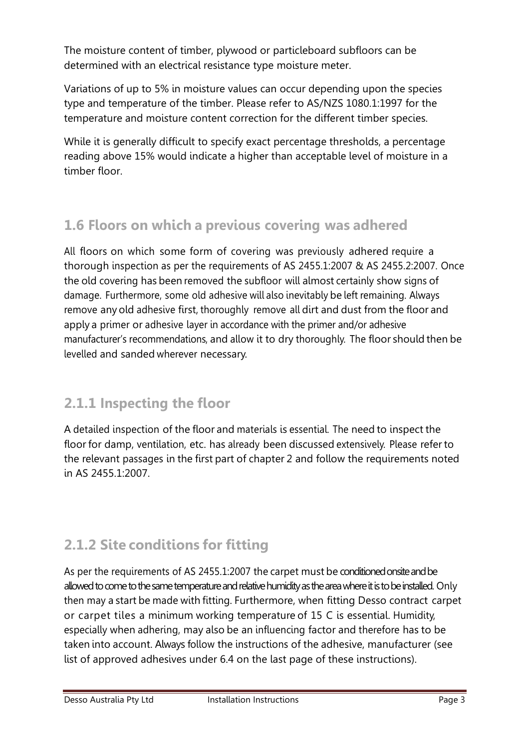The moisture content of timber, plywood or particleboard subfloors can be determined with an electrical resistance type moisture meter.

Variations of up to 5% in moisture values can occur depending upon the species type and temperature of the timber. Please refer to AS/NZS 1080.1:1997 for the temperature and moisture content correction for the different timber species.

While it is generally difficult to specify exact percentage thresholds, a percentage reading above 15% would indicate a higher than acceptable level of moisture in a timber floor.

# 1.6 Floors on which a previous covering was adhered

All floors on which some form of covering was previously adhered require a thorough inspection as per the requirements of AS 2455.1:2007 & AS 2455.2:2007. Once the old covering has been removed the subfloor will almost certainly show signs of damage. Furthermore, some old adhesive will also inevitably be left remaining. Always remove any old adhesive first, thoroughly remove all dirt and dust from the floor and apply a primer or adhesive layer in accordance with the primer and/or adhesive manufacturer's recommendations, and allow it to dry thoroughly. The floor should then be levelled and sanded wherever necessary.

### 2.1.1 Inspecting the floor

A detailed inspection of the floor and materials is essential. The need to inspect the floor for damp, ventilation, etc. has already been discussed extensively. Please refer to the relevant passages in the first part of chapter 2 and follow the requirements noted in AS 2455.1:2007.

# 2.1.2 Site conditions for fitting

As per the requirements of AS 2455.1:2007 the carpet must be conditioned onsite and be allowed to come to the same temperature and relative humidity as the area where it is to be installed. Only then may a start be made with fitting. Furthermore, when fitting Desso contract carpet or carpet tiles a minimum working temperature of 15 C is essential. Humidity, especially when adhering, may also be an influencing factor and therefore has to be taken into account. Always follow the instructions of the adhesive, manufacturer (see list of approved adhesives under 6.4 on the last page of these instructions).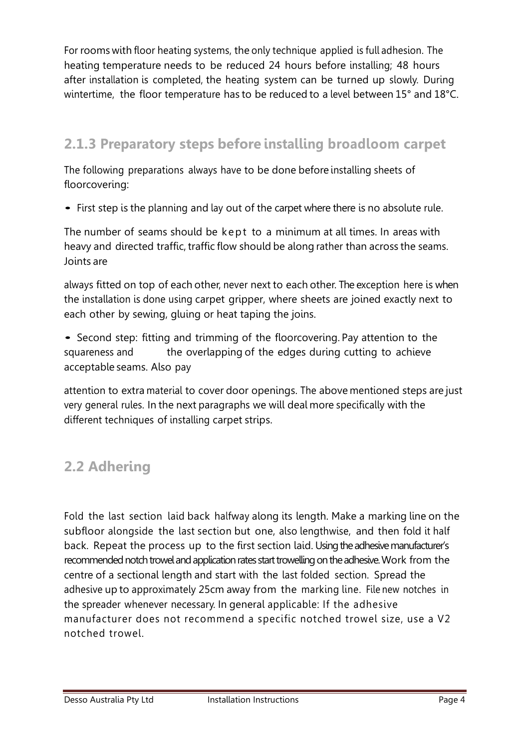For rooms with floor heating systems, the only technique applied is full adhesion. The heating temperature needs to be reduced 24 hours before installing; 48 hours after installation is completed, the heating system can be turned up slowly. During wintertime, the floor temperature has to be reduced to a level between 15° and 18°C.

# 2.1.3 Preparatory steps before installing broadloom carpet

The following preparations always have to be done before installing sheets of floorcovering:

• First step is the planning and lay out of the carpet where there is no absolute rule.

The number of seams should be kept to a minimum at all times. In areas with heavy and directed traffic, traffic flow should be along rather than across the seams. Joints are

always fitted on top of each other, never next to each other. The exception here is when the installation is done using carpet gripper, where sheets are joined exactly next to each other by sewing, gluing or heat taping the joins.

• Second step: fitting and trimming of the floorcovering. Pay attention to the squareness and the overlapping of the edges during cutting to achieve acceptable seams. Also pay

attention to extra material to cover door openings. The above mentioned steps are just very general rules. In the next paragraphs we will deal more specifically with the different techniques of installing carpet strips.

# 2.2 Adhering

Fold the last section laid back halfway along its length. Make a marking line on the subfloor alongside the last section but one, also lengthwise, and then fold it half back. Repeat the process up to the first section laid. Using the adhesive manufacturer's recommended notch trowel and application rates start trowelling on the adhesive. Work from the centre of a sectional length and start with the last folded section. Spread the adhesive up to approximately 25cm away from the marking line. File new notches in the spreader whenever necessary. In general applicable: If the adhesive manufacturer does not recommend a specific notched trowel size, use a V2 notched trowel.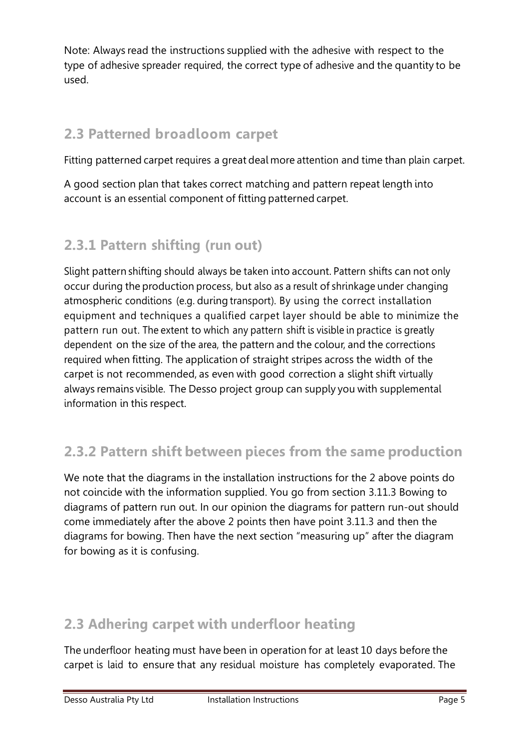Note: Always read the instructions supplied with the adhesive with respect to the type of adhesive spreader required, the correct type of adhesive and the quantity to be used.

# 2.3 Patterned broadloom carpet

Fitting patterned carpet requires a great deal more attention and time than plain carpet.

A good section plan that takes correct matching and pattern repeat length into account is an essential component of fitting patterned carpet.

# 2.3.1 Pattern shifting (run out)

Slight pattern shifting should always be taken into account. Pattern shifts can not only occur during the production process, but also as a result of shrinkage under changing atmospheric conditions (e.g. during transport). By using the correct installation equipment and techniques a qualified carpet layer should be able to minimize the pattern run out. The extent to which any pattern shift is visible in practice is greatly dependent on the size of the area, the pattern and the colour, and the corrections required when fitting. The application of straight stripes across the width of the carpet is not recommended, as even with good correction a slight shift virtually always remains visible. The Desso project group can supply you with supplemental information in this respect.

# 2.3.2 Pattern shift between pieces from the same production

We note that the diagrams in the installation instructions for the 2 above points do not coincide with the information supplied. You go from section 3.11.3 Bowing to diagrams of pattern run out. In our opinion the diagrams for pattern run-out should come immediately after the above 2 points then have point 3.11.3 and then the diagrams for bowing. Then have the next section "measuring up" after the diagram for bowing as it is confusing.

# 2.3 Adhering carpet with underfloor heating

The underfloor heating must have been in operation for at least 10 days before the carpet is laid to ensure that any residual moisture has completely evaporated. The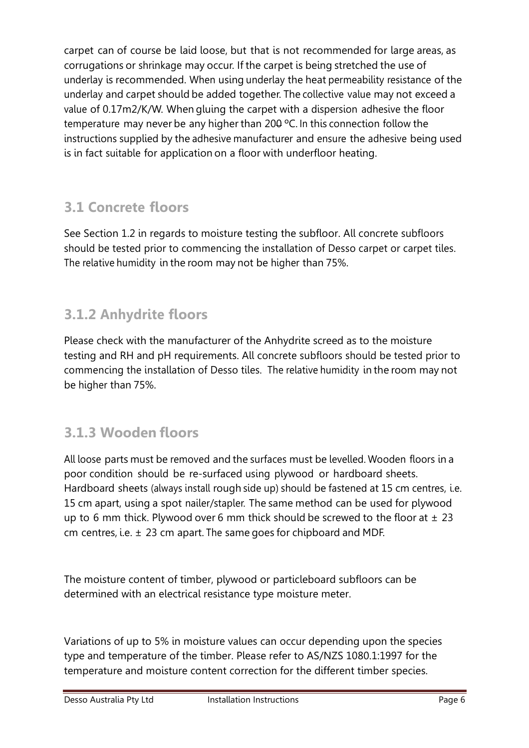carpet can of course be laid loose, but that is not recommended for large areas, as corrugations or shrinkage may occur. If the carpet is being stretched the use of underlay is recommended. When using underlay the heat permeability resistance of the underlay and carpet should be added together. The collective value may not exceed a value of 0.17m2/K/W. When gluing the carpet with a dispersion adhesive the floor temperature may never be any higher than 200 ºC. In this connection follow the instructions supplied by the adhesive manufacturer and ensure the adhesive being used is in fact suitable for application on a floor with underfloor heating.

# 3.1 Concrete floors

See Section 1.2 in regards to moisture testing the subfloor. All concrete subfloors should be tested prior to commencing the installation of Desso carpet or carpet tiles. The relative humidity in the room may not be higher than 75%.

# 3.1.2 Anhydrite floors

Please check with the manufacturer of the Anhydrite screed as to the moisture testing and RH and pH requirements. All concrete subfloors should be tested prior to commencing the installation of Desso tiles. The relative humidity in the room may not be higher than 75%.

# 3.1.3 Wooden floors

All loose parts must be removed and the surfaces must be levelled. Wooden floors in a poor condition should be re-surfaced using plywood or hardboard sheets. Hardboard sheets (always install rough side up) should be fastened at 15 cm centres, i.e. 15 cm apart, using a spot nailer/stapler. The same method can be used for plywood up to 6 mm thick. Plywood over 6 mm thick should be screwed to the floor at  $\pm$  23 cm centres, i.e. ± 23 cm apart. The same goes for chipboard and MDF.

The moisture content of timber, plywood or particleboard subfloors can be determined with an electrical resistance type moisture meter.

Variations of up to 5% in moisture values can occur depending upon the species type and temperature of the timber. Please refer to AS/NZS 1080.1:1997 for the temperature and moisture content correction for the different timber species.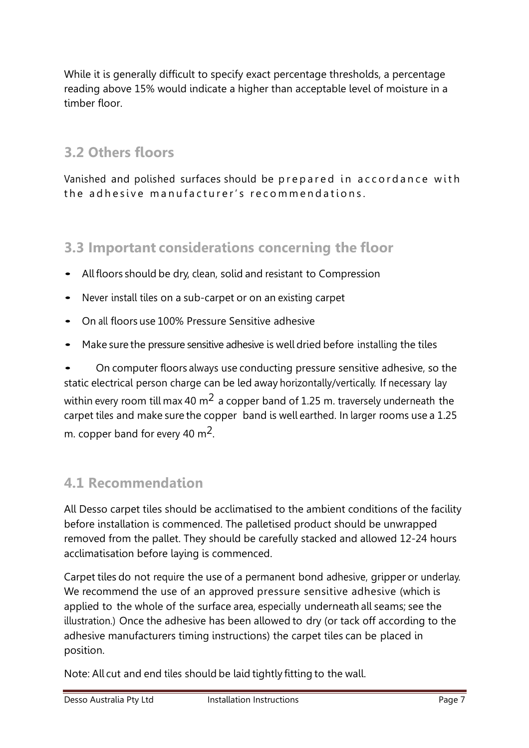While it is generally difficult to specify exact percentage thresholds, a percentage reading above 15% would indicate a higher than acceptable level of moisture in a timber floor.

### 3.2 Others floors

Vanished and polished surfaces should be prepared in accordance with the adhesive manufacturer's recommendations.

#### 3.3 Important considerations concerning the floor

- All floors should be dry, clean, solid and resistant to Compression
- Never install tiles on a sub-carpet or on an existing carpet
- On all floors use 100% Pressure Sensitive adhesive
- Make sure the pressure sensitive adhesive is well dried before installing the tiles

• On computer floors always use conducting pressure sensitive adhesive, so the static electrical person charge can be led away horizontally/vertically. If necessary lay within every room till max 40  $m^2$  a copper band of 1.25 m. traversely underneath the carpet tiles and make sure the copper band is well earthed. In larger rooms use a 1.25 m. copper band for every 40  $\text{m}^2$ .

### 4.1 Recommendation

All Desso carpet tiles should be acclimatised to the ambient conditions of the facility before installation is commenced. The palletised product should be unwrapped removed from the pallet. They should be carefully stacked and allowed 12-24 hours acclimatisation before laying is commenced.

Carpet tiles do not require the use of a permanent bond adhesive, gripper or underlay. We recommend the use of an approved pressure sensitive adhesive (which is applied to the whole of the surface area, especially underneath all seams; see the illustration.) Once the adhesive has been allowed to dry (or tack off according to the adhesive manufacturers timing instructions) the carpet tiles can be placed in position.

Note: All cut and end tiles should be laid tightly fitting to the wall.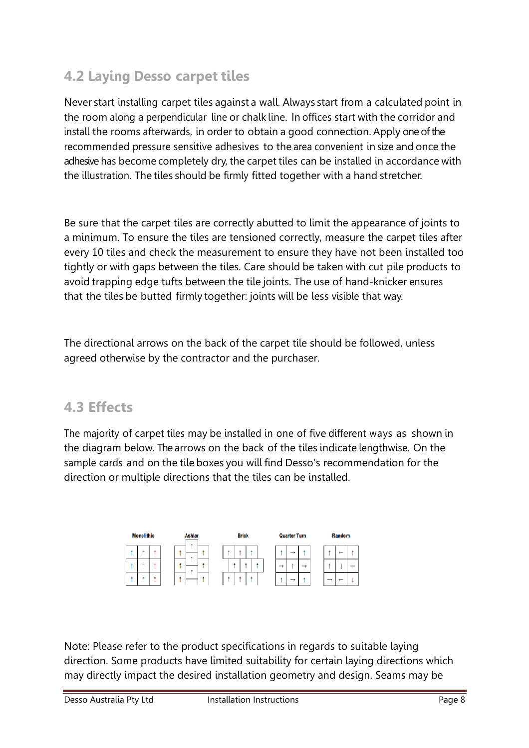### 4.2 Laying Desso carpet tiles

Never start installing carpet tiles against a wall. Always start from a calculated point in the room along a perpendicular line or chalk line. In offices start with the corridor and install the rooms afterwards, in order to obtain a good connection. Apply one of the recommended pressure sensitive adhesives to the area convenient in size and once the adhesive has become completely dry, the carpet tiles can be installed in accordance with the illustration. The tiles should be firmly fitted together with a hand stretcher.

Be sure that the carpet tiles are correctly abutted to limit the appearance of joints to a minimum. To ensure the tiles are tensioned correctly, measure the carpet tiles after every 10 tiles and check the measurement to ensure they have not been installed too tightly or with gaps between the tiles. Care should be taken with cut pile products to avoid trapping edge tufts between the tile joints. The use of hand-knicker ensures that the tiles be butted firmly together: joints will be less visible that way.

The directional arrows on the back of the carpet tile should be followed, unless agreed otherwise by the contractor and the purchaser.

#### 4.3 Effects

The majority of carpet tiles may be installed in one of five different ways as shown in the diagram below. The arrows on the back of the tiles indicate lengthwise. On the sample cards and on the tile boxes you will find Desso's recommendation for the direction or multiple directions that the tiles can be installed.



Note: Please refer to the product specifications in regards to suitable laying direction. Some products have limited suitability for certain laying directions which may directly impact the desired installation geometry and design. Seams may be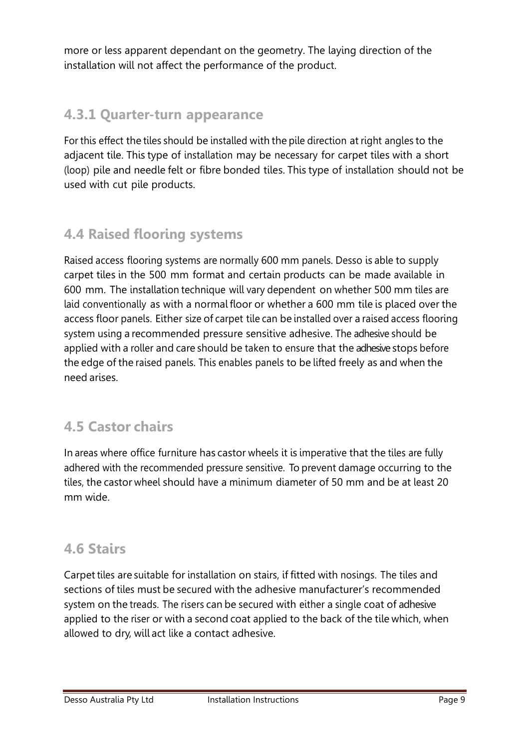more or less apparent dependant on the geometry. The laying direction of the installation will not affect the performance of the product.

#### 4.3.1 Quarter-turn appearance

For this effect the tiles should be installed with the pile direction at right angles to the adjacent tile. This type of installation may be necessary for carpet tiles with a short (loop) pile and needle felt or fibre bonded tiles. This type of installation should not be used with cut pile products.

### 4.4 Raised flooring systems

Raised access flooring systems are normally 600 mm panels. Desso is able to supply carpet tiles in the 500 mm format and certain products can be made available in 600 mm. The installation technique will vary dependent on whether 500 mm tiles are laid conventionally as with a normal floor or whether a 600 mm tile is placed over the access floor panels. Either size of carpet tile can be installed over a raised access flooring system using a recommended pressure sensitive adhesive. The adhesive should be applied with a roller and care should be taken to ensure that the adhesive stops before the edge of the raised panels. This enables panels to be lifted freely as and when the need arises.

### 4.5 Castor chairs

In areas where office furniture has castor wheels it is imperative that the tiles are fully adhered with the recommended pressure sensitive. To prevent damage occurring to the tiles, the castor wheel should have a minimum diameter of 50 mm and be at least 20 mm wide.

#### 4.6 Stairs

Carpet tiles are suitable for installation on stairs, if fitted with nosings. The tiles and sections of tiles must be secured with the adhesive manufacturer's recommended system on the treads. The risers can be secured with either a single coat of adhesive applied to the riser or with a second coat applied to the back of the tile which, when allowed to dry, will act like a contact adhesive.